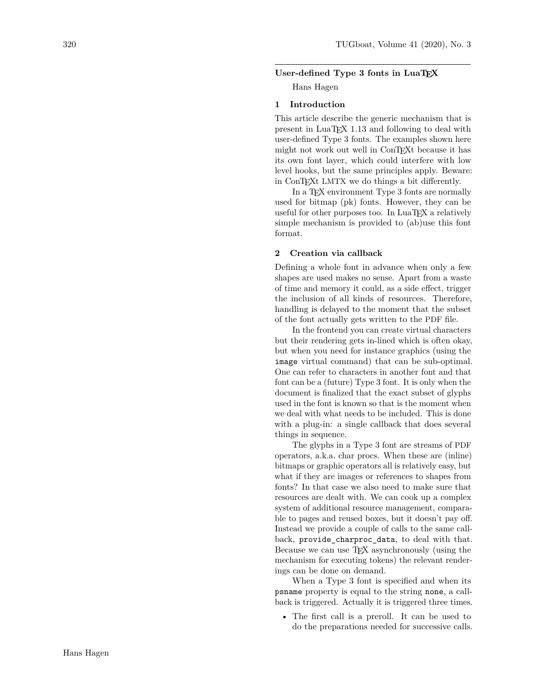# User-defined Type 3 fonts in LuaT<sub>E</sub>X

Hans Hagen

### **1 Introduction**

This article describe the generic mechanism that is present in LuaTEX 1.13 and following to deal with user-defined Type 3 fonts. The examples shown here might not work out well in ConT<sub>EX</sub>t because it has its own font layer, which could interfere with low level hooks, but the same principles apply. Beware: in ConT<sub>EX</sub>t LMTX we do things a bit differently.

In a TEX environment Type 3 fonts are normally used for bitmap (pk) fonts. However, they can be useful for other purposes too. In LuaTFX a relatively simple mechanism is provided to (ab)use this font format.

### **2 Creation via callback**

Defining a whole font in advance when only a few shapes are used makes no sense. Apart from a waste of time and memory it could, as a side effect, trigger the inclusion of all kinds of resources. Therefore, handling is delayed to the moment that the subset of the font actually gets written to the PDF file.

In the frontend you can create virtual characters but their rendering gets in-lined which is often okay, but when you need for instance graphics (using the image virtual command) that can be sub-optimal. One can refer to characters in another font and that font can be a (future) Type 3 font. It is only when the document is finalized that the exact subset of glyphs used in the font is known so that is the moment when we deal with what needs to be included. This is done with a plug-in: a single callback that does several things in sequence.

The glyphs in a Type 3 font are streams of PDF operators, a.k.a. char procs. When these are (inline) bitmaps or graphic operators all is relatively easy, but what if they are images or references to shapes from fonts? In that case we also need to make sure that resources are dealt with. We can cook up a complex system of additional resource management, comparable to pages and reused boxes, but it doesn't pay off. Instead we provide a couple of calls to the same callback, provide\_charproc\_data, to deal with that. Because we can use TEX asynchronously (using the mechanism for executing tokens) the relevant renderings can be done on demand.

When a Type 3 font is specified and when its psname property is equal to the string none, a callback is triggered. Actually it is triggered three times.

• The first call is a preroll. It can be used to do the preparations needed for successive calls.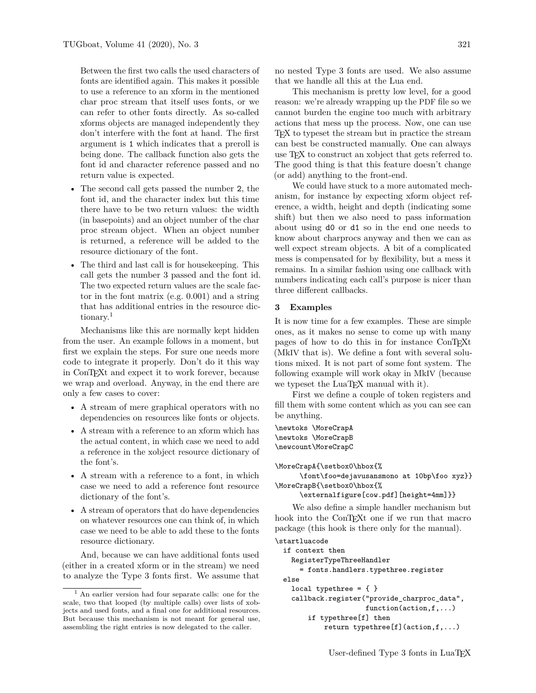Between the first two calls the used characters of fonts are identified again. This makes it possible to use a reference to an xform in the mentioned char proc stream that itself uses fonts, or we can refer to other fonts directly. As so-called xforms objects are managed independently they don't interfere with the font at hand. The first argument is 1 which indicates that a preroll is being done. The callback function also gets the font id and character reference passed and no return value is expected.

- The second call gets passed the number 2, the font id, and the character index but this time there have to be two return values: the width (in basepoints) and an object number of the char proc stream object. When an object number is returned, a reference will be added to the resource dictionary of the font.
- The third and last call is for housekeeping. This call gets the number 3 passed and the font id. The two expected return values are the scale factor in the font matrix (e.g. 0.001) and a string that has additional entries in the resource dic-tionary.<sup>[1](#page-1-0)</sup>

Mechanisms like this are normally kept hidden from the user. An example follows in a moment, but first we explain the steps. For sure one needs more code to integrate it properly. Don't do it this way in ConTEXt and expect it to work forever, because we wrap and overload. Anyway, in the end there are only a few cases to cover:

- A stream of mere graphical operators with no dependencies on resources like fonts or objects.
- A stream with a reference to an xform which has the actual content, in which case we need to add a reference in the xobject resource dictionary of the font's.
- A stream with a reference to a font, in which case we need to add a reference font resource dictionary of the font's.
- A stream of operators that do have dependencies on whatever resources one can think of, in which case we need to be able to add these to the fonts resource dictionary.

And, because we can have additional fonts used (either in a created xform or in the stream) we need to analyze the Type 3 fonts first. We assume that no nested Type 3 fonts are used. We also assume that we handle all this at the Lua end.

This mechanism is pretty low level, for a good reason: we're already wrapping up the PDF file so we cannot burden the engine too much with arbitrary actions that mess up the process. Now, one can use TEX to typeset the stream but in practice the stream can best be constructed manually. One can always use T<sub>F</sub>X to construct an xobject that gets referred to. The good thing is that this feature doesn't change (or add) anything to the front-end.

We could have stuck to a more automated mechanism, for instance by expecting xform object reference, a width, height and depth (indicating some shift) but then we also need to pass information about using d0 or d1 so in the end one needs to know about charprocs anyway and then we can as well expect stream objects. A bit of a complicated mess is compensated for by flexibility, but a mess it remains. In a similar fashion using one callback with numbers indicating each call's purpose is nicer than three different callbacks.

# **3 Examples**

It is now time for a few examples. These are simple ones, as it makes no sense to come up with many pages of how to do this in for instance ConTEXt (MkIV that is). We define a font with several solutions mixed. It is not part of some font system. The following example will work okay in MkIV (because we typeset the LuaT<sub>E</sub>X manual with it).

First we define a couple of token registers and fill them with some content which as you can see can be anything.

\newtoks \MoreCrapA \newtoks \MoreCrapB \newcount\MoreCrapC

```
\MoreCrapA{\setbox0\hbox{%
```
\font\foo=dejavusansmono at 10bp\foo xyz}} \MoreCrapB{\setbox0\hbox{%

```
\externalfigure[cow.pdf][height=4mm]}}
```
We also define a simple handler mechanism but hook into the ConTEXt one if we run that macro package (this hook is there only for the manual).

# \startluacode

```
if context then
 RegisterTypeThreeHandler
    = fonts.handlers.typethree.register
else
 local typethree = \{ \}callback.register("provide_charproc_data",
                    function(action,f,...)
      if typethree[f] then
          return typethree[f](action,f,...)
```
<span id="page-1-0"></span><sup>&</sup>lt;sup>1</sup> An earlier version had four separate calls: one for the scale, two that looped (by multiple calls) over lists of xobjects and used fonts, and a final one for additional resources. But because this mechanism is not meant for general use, assembling the right entries is now delegated to the caller.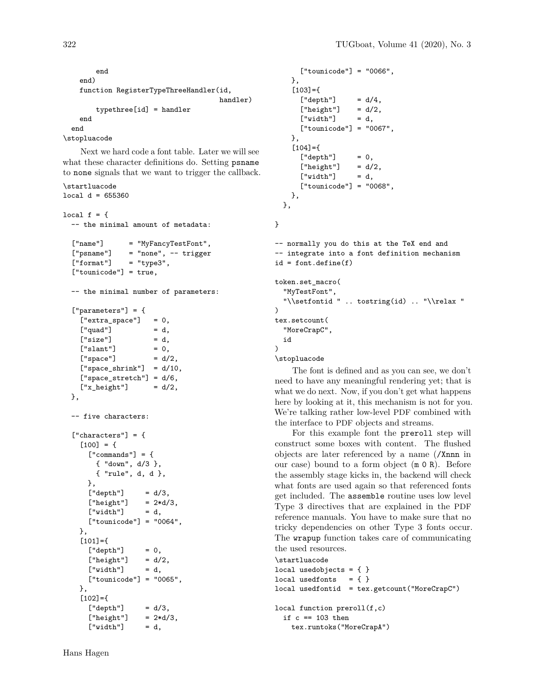```
end
 end)
 function RegisterTypeThreeHandler(id,
                                      handler)
      typethree[id] = handler
 end
end
```
\stopluacode

Next we hard code a font table. Later we will see what these character definitions do. Setting psname to none signals that we want to trigger the callback.

```
\startluacode
local d = 655360
```

```
local f = \{-- the minimal amount of metadata:
  ["name"] = "MyFancyTestFont",
  ['psname"] = "none", -- trigger["format"] = "type3",
  ["tounicode"] = true,
  -- the minimal number of parameters:
  ["parameters"] = {
    ['extracting space"] = 0,["quad"] = d,
    ['size"] = d,
    ['slant"] = 0,
    ['space"] = d/2,
    ['space\_shrink"] = d/10,["space_stretch"] = d/6,
    ['x_{\text{height}}"] = d/2,
 },
  -- five characters:
  ['charcters"] = {[100] = {['{}'commands"] = {{ "down", d/3 },
       { "rule", d, d },
     },
     ["depth"] = d/3,<br>["height"] = 2*d/3,['height']['width"] = d,
     ["tounicode"] = "0064",
   },
    [101] = \{['depth"] = 0,
     ['height"] = d/2,
     ["width"] = d,
     ["tounicode"] = "0065",
   },
    [102] = {
```
 $[\text{"depth"}] = d/3,$  $['height"] = 2*d/3,$  $['width"] = d,$ 

```
["tounicode"] = "0066",
 },
  [103] =['depth"] = d/4,
    [''height"] = d/2,['width"] = d,
    ["tounicode"] = "0067",
 },
  [104] =['depth"] = 0,
    ['height"] = d/2,['width"] = d,
    ["tounicode"] = "0068",
 },
},
```
}

```
-- normally you do this at the TeX end and
-- integrate into a font definition mechanism
id = font.define(f)
```

```
token.set_macro(
  "MyTestFont",
  "\\setfontid " .. tostring(id) .. "\\relax "
\lambdatex.setcount(
  "MoreCrapC",
  id
)
\stopluacode
```
The font is defined and as you can see, we don't need to have any meaningful rendering yet; that is what we do next. Now, if you don't get what happens here by looking at it, this mechanism is not for you. We're talking rather low-level PDF combined with the interface to PDF objects and streams.

For this example font the preroll step will construct some boxes with content. The flushed objects are later referenced by a name (/Xnnn in our case) bound to a form object (m 0 R). Before the assembly stage kicks in, the backend will check what fonts are used again so that referenced fonts get included. The assemble routine uses low level Type 3 directives that are explained in the PDF reference manuals. You have to make sure that no tricky dependencies on other Type 3 fonts occur. The wrapup function takes care of communicating the used resources.

```
\startluacode
local usedobjects = \{ \}local usedfonts = \{ \}local usedfontid = tex.getcount("MoreCrapC")
local function preroll(f,c)
```

```
if c == 103 then
  tex.runtoks("MoreCrapA")
```